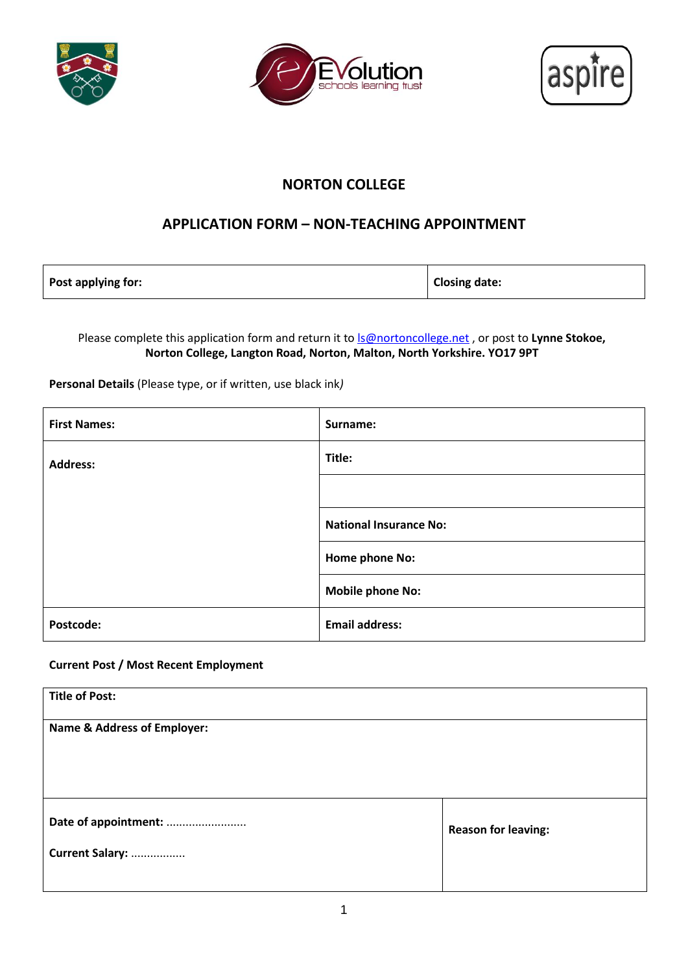





# **NORTON COLLEGE**

## **APPLICATION FORM – NON-TEACHING APPOINTMENT**

| Post applying for: | <b>Closing date:</b> |
|--------------------|----------------------|
|--------------------|----------------------|

Please complete this application form and return it to **S@nortoncollege.net**, or post to Lynne Stokoe, **Norton College, Langton Road, Norton, Malton, North Yorkshire. YO17 9PT**

**Personal Details** (Please type, or if written, use black ink*)*

| <b>First Names:</b> | Surname:                      |
|---------------------|-------------------------------|
| <b>Address:</b>     | Title:                        |
|                     |                               |
|                     | <b>National Insurance No:</b> |
|                     | Home phone No:                |
|                     | <b>Mobile phone No:</b>       |
| Postcode:           | <b>Email address:</b>         |

### **Current Post / Most Recent Employment**

| <b>Title of Post:</b>                  |                            |
|----------------------------------------|----------------------------|
| <b>Name &amp; Address of Employer:</b> |                            |
|                                        |                            |
|                                        |                            |
|                                        |                            |
| Date of appointment:                   | <b>Reason for leaving:</b> |
| Current Salary:                        |                            |
|                                        |                            |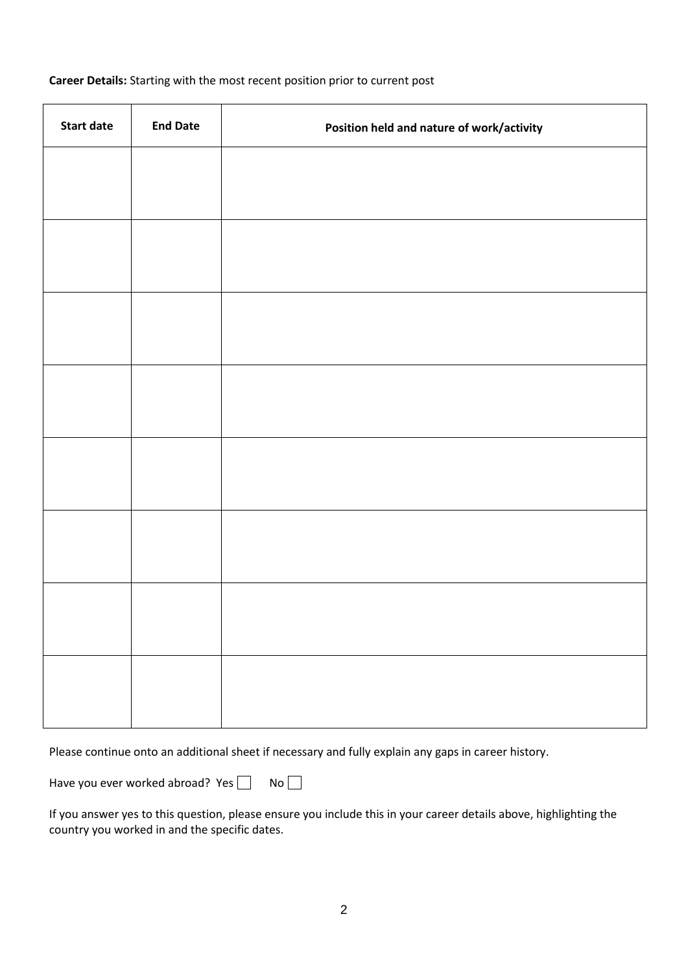| <b>Start date</b> | <b>End Date</b> | Position held and nature of work/activity |
|-------------------|-----------------|-------------------------------------------|
|                   |                 |                                           |
|                   |                 |                                           |
|                   |                 |                                           |
|                   |                 |                                           |
|                   |                 |                                           |
|                   |                 |                                           |
|                   |                 |                                           |
|                   |                 |                                           |
|                   |                 |                                           |
|                   |                 |                                           |
|                   |                 |                                           |
|                   |                 |                                           |
|                   |                 |                                           |
|                   |                 |                                           |
|                   |                 |                                           |
|                   |                 |                                           |

Please continue onto an additional sheet if necessary and fully explain any gaps in career history.

Have you ever worked abroad? Yes  $\Box$  No  $\Box$ 

If you answer yes to this question, please ensure you include this in your career details above, highlighting the country you worked in and the specific dates.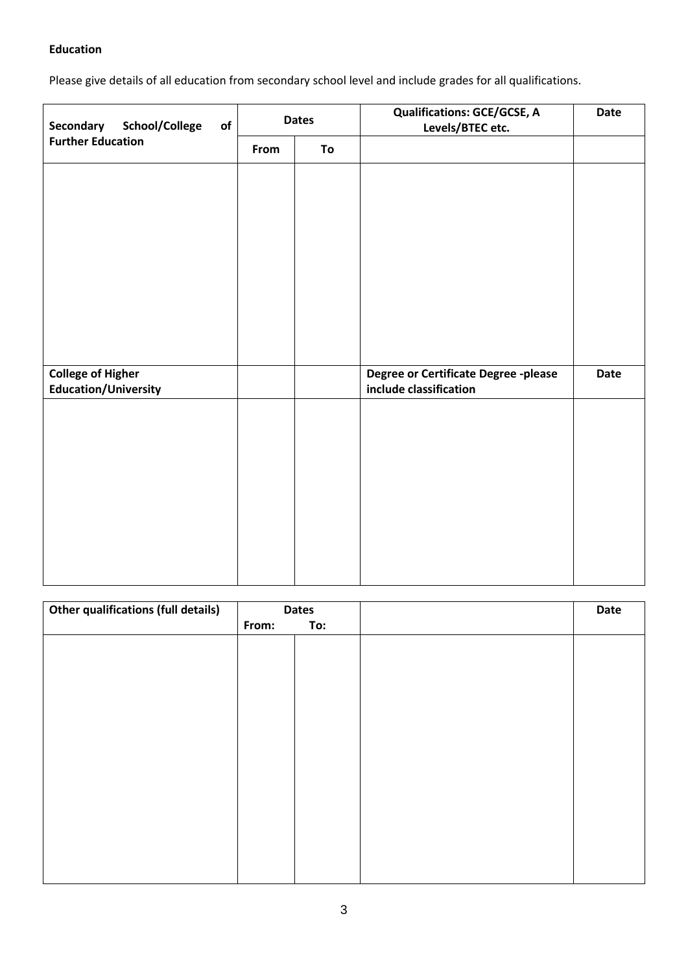### **Education**

Please give details of all education from secondary school level and include grades for all qualifications.

| Secondary<br>School/College<br>of                       | <b>Dates</b> |    | <b>Qualifications: GCE/GCSE, A</b><br>Levels/BTEC etc.         | <b>Date</b> |
|---------------------------------------------------------|--------------|----|----------------------------------------------------------------|-------------|
| <b>Further Education</b>                                | From         | To |                                                                |             |
|                                                         |              |    |                                                                |             |
|                                                         |              |    |                                                                |             |
|                                                         |              |    |                                                                |             |
|                                                         |              |    |                                                                |             |
|                                                         |              |    |                                                                |             |
|                                                         |              |    |                                                                |             |
|                                                         |              |    |                                                                |             |
|                                                         |              |    |                                                                |             |
| <b>College of Higher</b><br><b>Education/University</b> |              |    | Degree or Certificate Degree -please<br>include classification | <b>Date</b> |
|                                                         |              |    |                                                                |             |
|                                                         |              |    |                                                                |             |
|                                                         |              |    |                                                                |             |
|                                                         |              |    |                                                                |             |
|                                                         |              |    |                                                                |             |
|                                                         |              |    |                                                                |             |
|                                                         |              |    |                                                                |             |
|                                                         |              |    |                                                                |             |

| <b>Other qualifications (full details)</b> | <b>Dates</b> |     | Date |
|--------------------------------------------|--------------|-----|------|
|                                            | From:        | To: |      |
|                                            |              |     |      |
|                                            |              |     |      |
|                                            |              |     |      |
|                                            |              |     |      |
|                                            |              |     |      |
|                                            |              |     |      |
|                                            |              |     |      |
|                                            |              |     |      |
|                                            |              |     |      |
|                                            |              |     |      |
|                                            |              |     |      |
|                                            |              |     |      |
|                                            |              |     |      |
|                                            |              |     |      |
|                                            |              |     |      |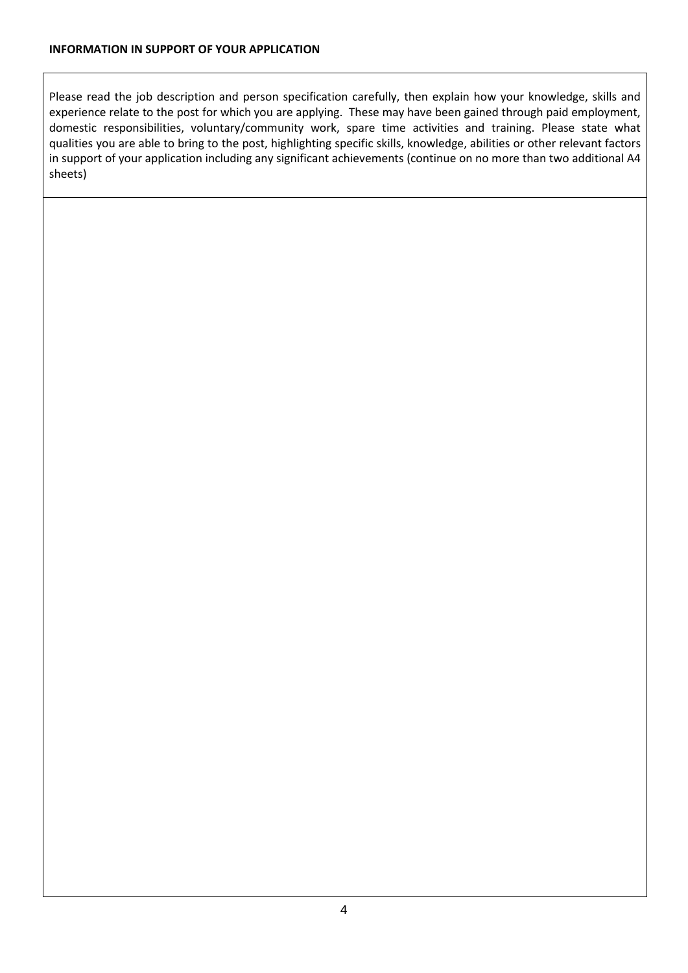Please read the job description and person specification carefully, then explain how your knowledge, skills and experience relate to the post for which you are applying. These may have been gained through paid employment, domestic responsibilities, voluntary/community work, spare time activities and training. Please state what qualities you are able to bring to the post, highlighting specific skills, knowledge, abilities or other relevant factors in support of your application including any significant achievements (continue on no more than two additional A4 sheets)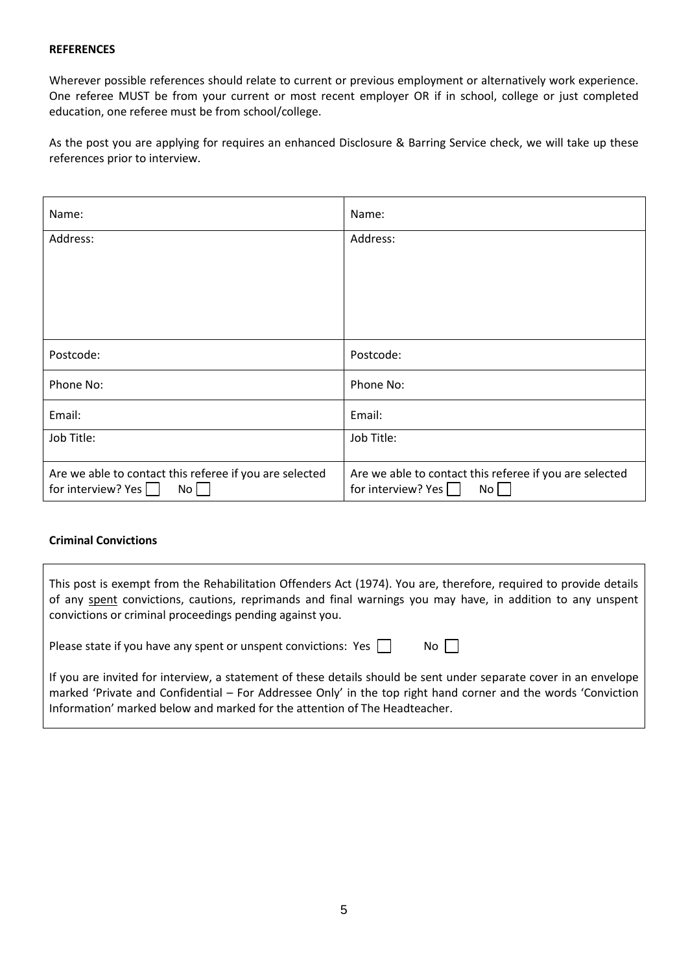#### **REFERENCES**

Wherever possible references should relate to current or previous employment or alternatively work experience. One referee MUST be from your current or most recent employer OR if in school, college or just completed education, one referee must be from school/college.

As the post you are applying for requires an enhanced Disclosure & Barring Service check, we will take up these references prior to interview.

| Name:                                                                                 | Name:                                                                                 |
|---------------------------------------------------------------------------------------|---------------------------------------------------------------------------------------|
| Address:                                                                              | Address:                                                                              |
|                                                                                       |                                                                                       |
|                                                                                       |                                                                                       |
|                                                                                       |                                                                                       |
| Postcode:                                                                             | Postcode:                                                                             |
| Phone No:                                                                             | Phone No:                                                                             |
| Email:                                                                                | Email:                                                                                |
| Job Title:                                                                            | Job Title:                                                                            |
| Are we able to contact this referee if you are selected<br>for interview? Yes  <br>No | Are we able to contact this referee if you are selected<br>for interview? Yes<br>No l |

#### **Criminal Convictions**

| This post is exempt from the Rehabilitation Offenders Act (1974). You are, therefore, required to provide details<br>of any spent convictions, cautions, reprimands and final warnings you may have, in addition to any unspent<br>convictions or criminal proceedings pending against you. |      |
|---------------------------------------------------------------------------------------------------------------------------------------------------------------------------------------------------------------------------------------------------------------------------------------------|------|
| Please state if you have any spent or unspent convictions: Yes $\ \cdot\ $                                                                                                                                                                                                                  | $NO$ |

If you are invited for interview, a statement of these details should be sent under separate cover in an envelope marked 'Private and Confidential – For Addressee Only' in the top right hand corner and the words 'Conviction Information' marked below and marked for the attention of The Headteacher.